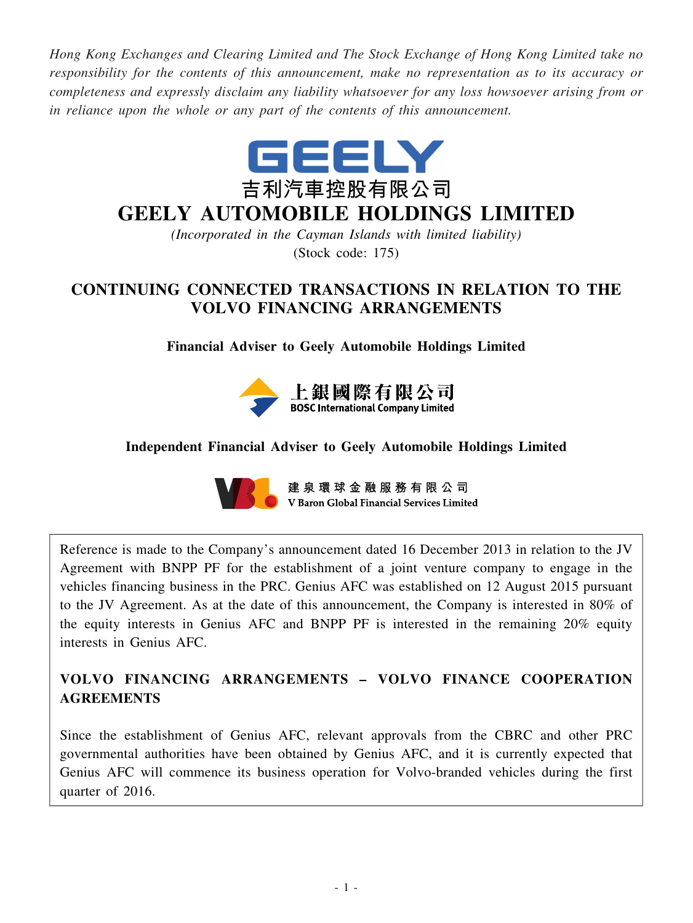*Hong Kong Exchanges and Clearing Limited and The Stock Exchange of Hong Kong Limited take no responsibility for the contents of this announcement, make no representation as to its accuracy or completeness and expressly disclaim any liability whatsoever for any loss howsoever arising from or in reliance upon the whole or any part of the contents of this announcement.*



# **GEELY AUTOMOBILE HOLDINGS LIMITED**

*(Incorporated in the Cayman Islands with limited liability)* (Stock code: 175)

# **CONTINUING CONNECTED TRANSACTIONS IN RELATION TO THE VOLVO FINANCING ARRANGEMENTS**

# **Financial Adviser to Geely Automobile Holdings Limited**



# **Independent Financial Adviser to Geely Automobile Holdings Limited**



建泉環球金融服務有限公司 V Baron Global Financial Services Limited

Reference is made to the Company's announcement dated 16 December 2013 in relation to the JV Agreement with BNPP PF for the establishment of a joint venture company to engage in the vehicles financing business in the PRC. Genius AFC was established on 12 August 2015 pursuant to the JV Agreement. As at the date of this announcement, the Company is interested in 80% of the equity interests in Genius AFC and BNPP PF is interested in the remaining 20% equity interests in Genius AFC.

# **VOLVO FINANCING ARRANGEMENTS – VOLVO FINANCE COOPERATION AGREEMENTS**

Since the establishment of Genius AFC, relevant approvals from the CBRC and other PRC governmental authorities have been obtained by Genius AFC, and it is currently expected that Genius AFC will commence its business operation for Volvo-branded vehicles during the first quarter of 2016.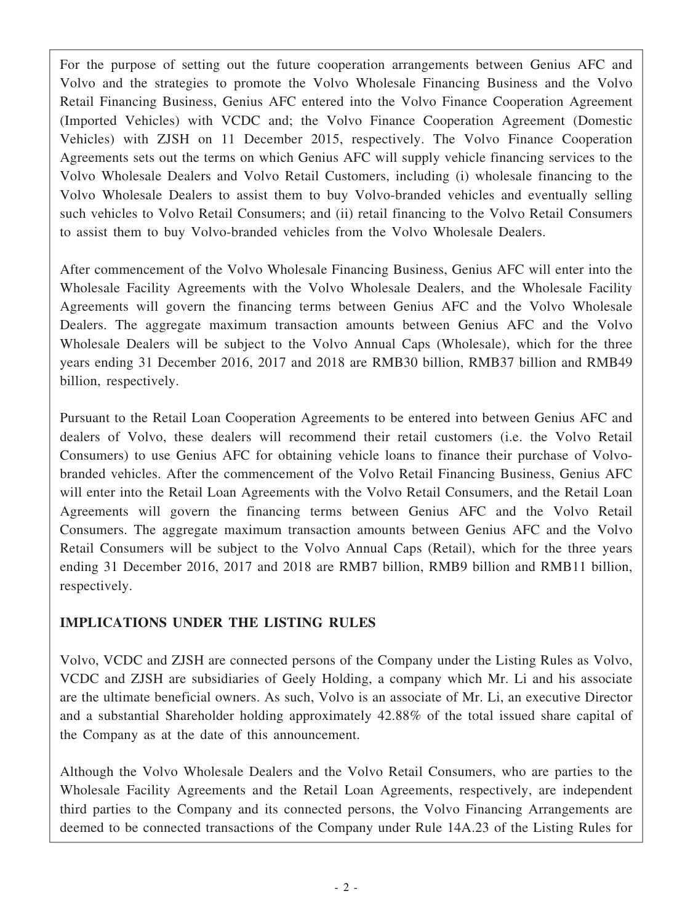For the purpose of setting out the future cooperation arrangements between Genius AFC and Volvo and the strategies to promote the Volvo Wholesale Financing Business and the Volvo Retail Financing Business, Genius AFC entered into the Volvo Finance Cooperation Agreement (Imported Vehicles) with VCDC and; the Volvo Finance Cooperation Agreement (Domestic Vehicles) with ZJSH on 11 December 2015, respectively. The Volvo Finance Cooperation Agreements sets out the terms on which Genius AFC will supply vehicle financing services to the Volvo Wholesale Dealers and Volvo Retail Customers, including (i) wholesale financing to the Volvo Wholesale Dealers to assist them to buy Volvo-branded vehicles and eventually selling such vehicles to Volvo Retail Consumers; and (ii) retail financing to the Volvo Retail Consumers to assist them to buy Volvo-branded vehicles from the Volvo Wholesale Dealers.

After commencement of the Volvo Wholesale Financing Business, Genius AFC will enter into the Wholesale Facility Agreements with the Volvo Wholesale Dealers, and the Wholesale Facility Agreements will govern the financing terms between Genius AFC and the Volvo Wholesale Dealers. The aggregate maximum transaction amounts between Genius AFC and the Volvo Wholesale Dealers will be subject to the Volvo Annual Caps (Wholesale), which for the three years ending 31 December 2016, 2017 and 2018 are RMB30 billion, RMB37 billion and RMB49 billion, respectively.

Pursuant to the Retail Loan Cooperation Agreements to be entered into between Genius AFC and dealers of Volvo, these dealers will recommend their retail customers (i.e. the Volvo Retail Consumers) to use Genius AFC for obtaining vehicle loans to finance their purchase of Volvobranded vehicles. After the commencement of the Volvo Retail Financing Business, Genius AFC will enter into the Retail Loan Agreements with the Volvo Retail Consumers, and the Retail Loan Agreements will govern the financing terms between Genius AFC and the Volvo Retail Consumers. The aggregate maximum transaction amounts between Genius AFC and the Volvo Retail Consumers will be subject to the Volvo Annual Caps (Retail), which for the three years ending 31 December 2016, 2017 and 2018 are RMB7 billion, RMB9 billion and RMB11 billion, respectively.

# **IMPLICATIONS UNDER THE LISTING RULES**

Volvo, VCDC and ZJSH are connected persons of the Company under the Listing Rules as Volvo, VCDC and ZJSH are subsidiaries of Geely Holding, a company which Mr. Li and his associate are the ultimate beneficial owners. As such, Volvo is an associate of Mr. Li, an executive Director and a substantial Shareholder holding approximately 42.88% of the total issued share capital of the Company as at the date of this announcement.

Although the Volvo Wholesale Dealers and the Volvo Retail Consumers, who are parties to the Wholesale Facility Agreements and the Retail Loan Agreements, respectively, are independent third parties to the Company and its connected persons, the Volvo Financing Arrangements are deemed to be connected transactions of the Company under Rule 14A.23 of the Listing Rules for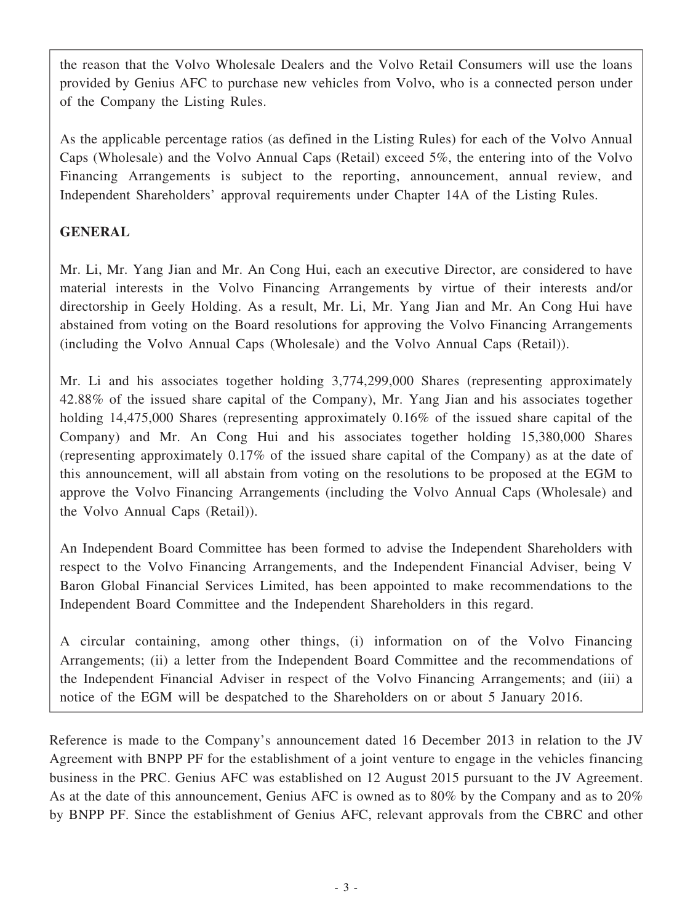the reason that the Volvo Wholesale Dealers and the Volvo Retail Consumers will use the loans provided by Genius AFC to purchase new vehicles from Volvo, who is a connected person under of the Company the Listing Rules.

As the applicable percentage ratios (as defined in the Listing Rules) for each of the Volvo Annual Caps (Wholesale) and the Volvo Annual Caps (Retail) exceed 5%, the entering into of the Volvo Financing Arrangements is subject to the reporting, announcement, annual review, and Independent Shareholders' approval requirements under Chapter 14A of the Listing Rules.

# **GENERAL**

Mr. Li, Mr. Yang Jian and Mr. An Cong Hui, each an executive Director, are considered to have material interests in the Volvo Financing Arrangements by virtue of their interests and/or directorship in Geely Holding. As a result, Mr. Li, Mr. Yang Jian and Mr. An Cong Hui have abstained from voting on the Board resolutions for approving the Volvo Financing Arrangements (including the Volvo Annual Caps (Wholesale) and the Volvo Annual Caps (Retail)).

Mr. Li and his associates together holding 3,774,299,000 Shares (representing approximately 42.88% of the issued share capital of the Company), Mr. Yang Jian and his associates together holding 14,475,000 Shares (representing approximately 0.16% of the issued share capital of the Company) and Mr. An Cong Hui and his associates together holding 15,380,000 Shares (representing approximately 0.17% of the issued share capital of the Company) as at the date of this announcement, will all abstain from voting on the resolutions to be proposed at the EGM to approve the Volvo Financing Arrangements (including the Volvo Annual Caps (Wholesale) and the Volvo Annual Caps (Retail)).

An Independent Board Committee has been formed to advise the Independent Shareholders with respect to the Volvo Financing Arrangements, and the Independent Financial Adviser, being V Baron Global Financial Services Limited, has been appointed to make recommendations to the Independent Board Committee and the Independent Shareholders in this regard.

A circular containing, among other things, (i) information on of the Volvo Financing Arrangements; (ii) a letter from the Independent Board Committee and the recommendations of the Independent Financial Adviser in respect of the Volvo Financing Arrangements; and (iii) a notice of the EGM will be despatched to the Shareholders on or about 5 January 2016.

Reference is made to the Company's announcement dated 16 December 2013 in relation to the JV Agreement with BNPP PF for the establishment of a joint venture to engage in the vehicles financing business in the PRC. Genius AFC was established on 12 August 2015 pursuant to the JV Agreement. As at the date of this announcement, Genius AFC is owned as to 80% by the Company and as to 20% by BNPP PF. Since the establishment of Genius AFC, relevant approvals from the CBRC and other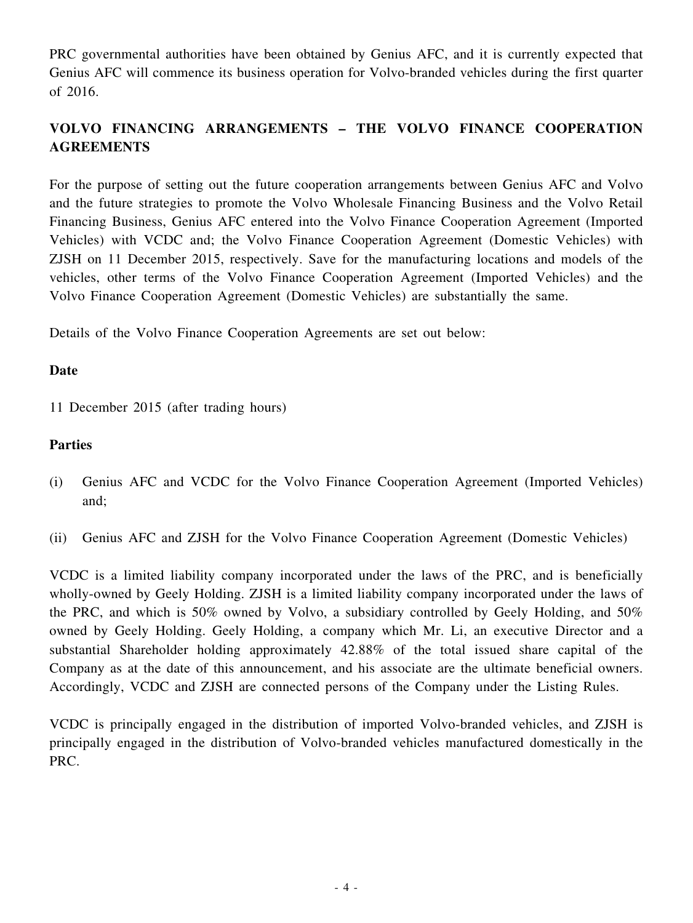PRC governmental authorities have been obtained by Genius AFC, and it is currently expected that Genius AFC will commence its business operation for Volvo-branded vehicles during the first quarter of 2016.

# **VOLVO FINANCING ARRANGEMENTS – THE VOLVO FINANCE COOPERATION AGREEMENTS**

For the purpose of setting out the future cooperation arrangements between Genius AFC and Volvo and the future strategies to promote the Volvo Wholesale Financing Business and the Volvo Retail Financing Business, Genius AFC entered into the Volvo Finance Cooperation Agreement (Imported Vehicles) with VCDC and; the Volvo Finance Cooperation Agreement (Domestic Vehicles) with ZJSH on 11 December 2015, respectively. Save for the manufacturing locations and models of the vehicles, other terms of the Volvo Finance Cooperation Agreement (Imported Vehicles) and the Volvo Finance Cooperation Agreement (Domestic Vehicles) are substantially the same.

Details of the Volvo Finance Cooperation Agreements are set out below:

### **Date**

11 December 2015 (after trading hours)

### **Parties**

- (i) Genius AFC and VCDC for the Volvo Finance Cooperation Agreement (Imported Vehicles) and;
- (ii) Genius AFC and ZJSH for the Volvo Finance Cooperation Agreement (Domestic Vehicles)

VCDC is a limited liability company incorporated under the laws of the PRC, and is beneficially wholly-owned by Geely Holding. ZJSH is a limited liability company incorporated under the laws of the PRC, and which is 50% owned by Volvo, a subsidiary controlled by Geely Holding, and 50% owned by Geely Holding. Geely Holding, a company which Mr. Li, an executive Director and a substantial Shareholder holding approximately 42.88% of the total issued share capital of the Company as at the date of this announcement, and his associate are the ultimate beneficial owners. Accordingly, VCDC and ZJSH are connected persons of the Company under the Listing Rules.

VCDC is principally engaged in the distribution of imported Volvo-branded vehicles, and ZJSH is principally engaged in the distribution of Volvo-branded vehicles manufactured domestically in the PRC.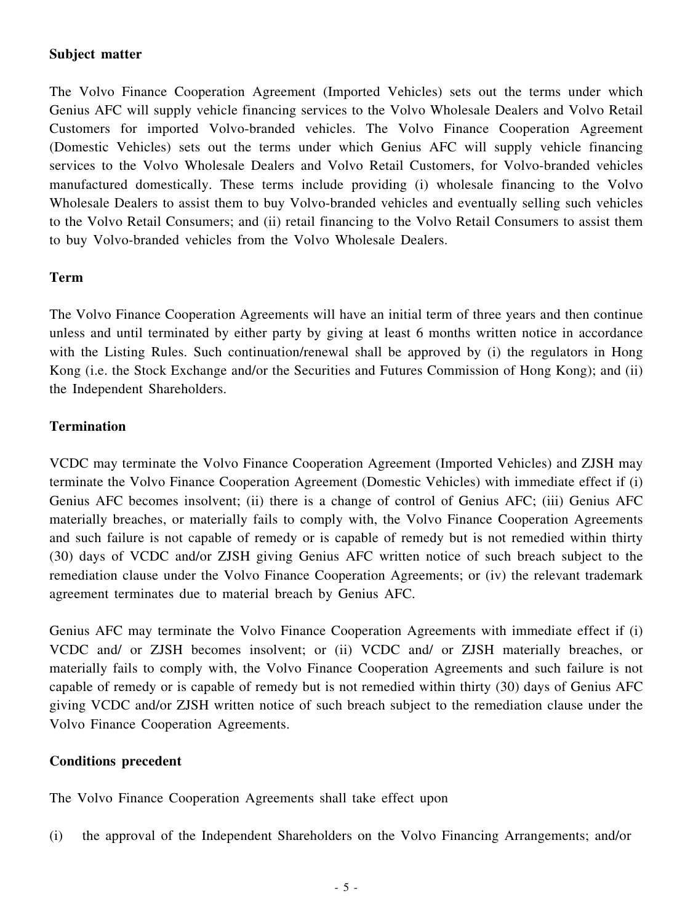### **Subject matter**

The Volvo Finance Cooperation Agreement (Imported Vehicles) sets out the terms under which Genius AFC will supply vehicle financing services to the Volvo Wholesale Dealers and Volvo Retail Customers for imported Volvo-branded vehicles. The Volvo Finance Cooperation Agreement (Domestic Vehicles) sets out the terms under which Genius AFC will supply vehicle financing services to the Volvo Wholesale Dealers and Volvo Retail Customers, for Volvo-branded vehicles manufactured domestically. These terms include providing (i) wholesale financing to the Volvo Wholesale Dealers to assist them to buy Volvo-branded vehicles and eventually selling such vehicles to the Volvo Retail Consumers; and (ii) retail financing to the Volvo Retail Consumers to assist them to buy Volvo-branded vehicles from the Volvo Wholesale Dealers.

### **Term**

The Volvo Finance Cooperation Agreements will have an initial term of three years and then continue unless and until terminated by either party by giving at least 6 months written notice in accordance with the Listing Rules. Such continuation/renewal shall be approved by (i) the regulators in Hong Kong (i.e. the Stock Exchange and/or the Securities and Futures Commission of Hong Kong); and (ii) the Independent Shareholders.

### **Termination**

VCDC may terminate the Volvo Finance Cooperation Agreement (Imported Vehicles) and ZJSH may terminate the Volvo Finance Cooperation Agreement (Domestic Vehicles) with immediate effect if (i) Genius AFC becomes insolvent; (ii) there is a change of control of Genius AFC; (iii) Genius AFC materially breaches, or materially fails to comply with, the Volvo Finance Cooperation Agreements and such failure is not capable of remedy or is capable of remedy but is not remedied within thirty (30) days of VCDC and/or ZJSH giving Genius AFC written notice of such breach subject to the remediation clause under the Volvo Finance Cooperation Agreements; or (iv) the relevant trademark agreement terminates due to material breach by Genius AFC.

Genius AFC may terminate the Volvo Finance Cooperation Agreements with immediate effect if (i) VCDC and/ or ZJSH becomes insolvent; or (ii) VCDC and/ or ZJSH materially breaches, or materially fails to comply with, the Volvo Finance Cooperation Agreements and such failure is not capable of remedy or is capable of remedy but is not remedied within thirty (30) days of Genius AFC giving VCDC and/or ZJSH written notice of such breach subject to the remediation clause under the Volvo Finance Cooperation Agreements.

### **Conditions precedent**

The Volvo Finance Cooperation Agreements shall take effect upon

(i) the approval of the Independent Shareholders on the Volvo Financing Arrangements; and/or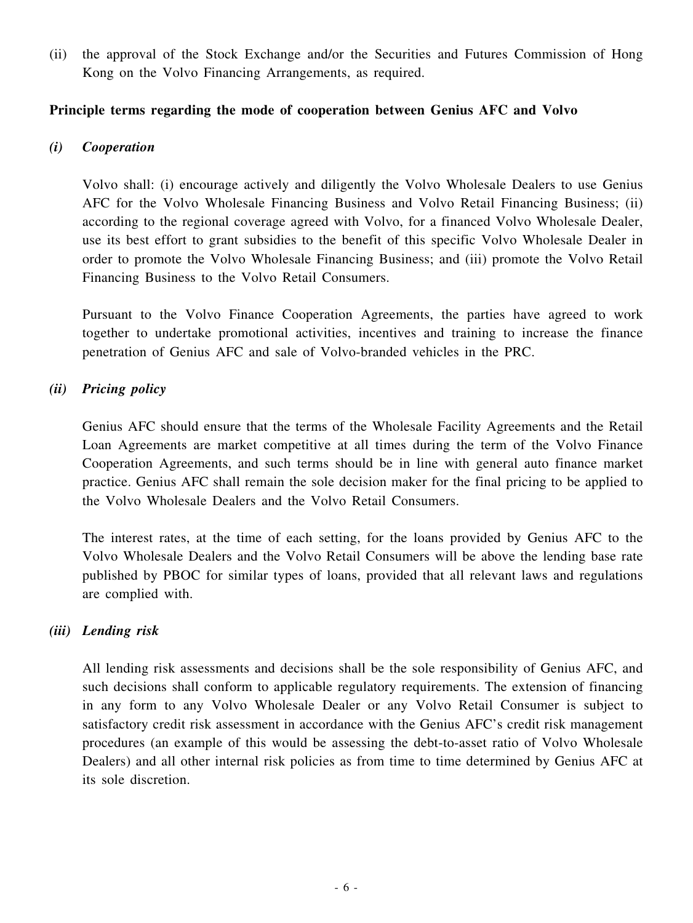(ii) the approval of the Stock Exchange and/or the Securities and Futures Commission of Hong Kong on the Volvo Financing Arrangements, as required.

### **Principle terms regarding the mode of cooperation between Genius AFC and Volvo**

### *(i) Cooperation*

Volvo shall: (i) encourage actively and diligently the Volvo Wholesale Dealers to use Genius AFC for the Volvo Wholesale Financing Business and Volvo Retail Financing Business; (ii) according to the regional coverage agreed with Volvo, for a financed Volvo Wholesale Dealer, use its best effort to grant subsidies to the benefit of this specific Volvo Wholesale Dealer in order to promote the Volvo Wholesale Financing Business; and (iii) promote the Volvo Retail Financing Business to the Volvo Retail Consumers.

Pursuant to the Volvo Finance Cooperation Agreements, the parties have agreed to work together to undertake promotional activities, incentives and training to increase the finance penetration of Genius AFC and sale of Volvo-branded vehicles in the PRC.

### *(ii) Pricing policy*

Genius AFC should ensure that the terms of the Wholesale Facility Agreements and the Retail Loan Agreements are market competitive at all times during the term of the Volvo Finance Cooperation Agreements, and such terms should be in line with general auto finance market practice. Genius AFC shall remain the sole decision maker for the final pricing to be applied to the Volvo Wholesale Dealers and the Volvo Retail Consumers.

The interest rates, at the time of each setting, for the loans provided by Genius AFC to the Volvo Wholesale Dealers and the Volvo Retail Consumers will be above the lending base rate published by PBOC for similar types of loans, provided that all relevant laws and regulations are complied with.

### *(iii) Lending risk*

All lending risk assessments and decisions shall be the sole responsibility of Genius AFC, and such decisions shall conform to applicable regulatory requirements. The extension of financing in any form to any Volvo Wholesale Dealer or any Volvo Retail Consumer is subject to satisfactory credit risk assessment in accordance with the Genius AFC's credit risk management procedures (an example of this would be assessing the debt-to-asset ratio of Volvo Wholesale Dealers) and all other internal risk policies as from time to time determined by Genius AFC at its sole discretion.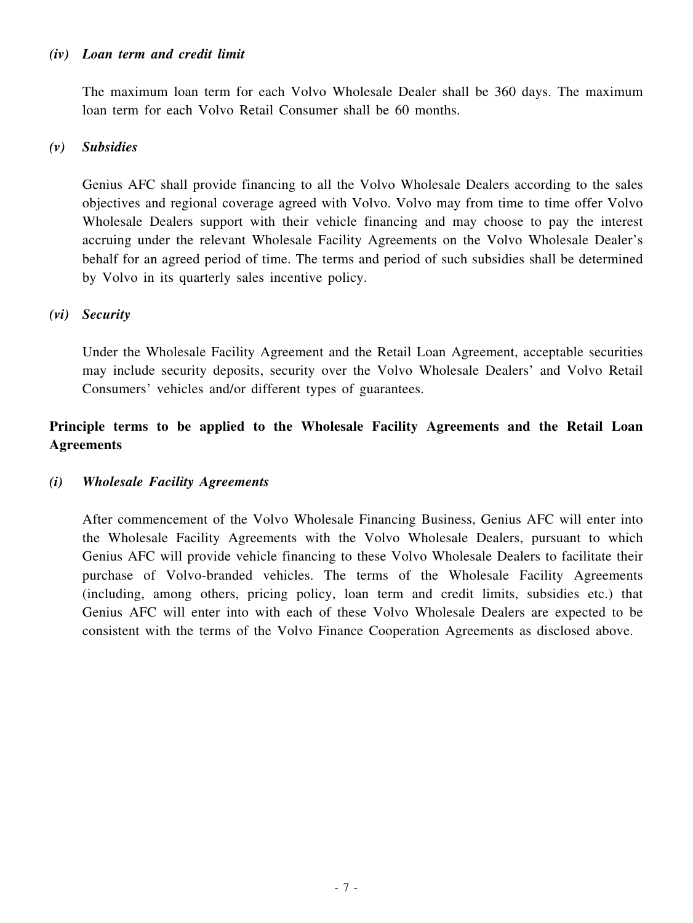#### *(iv) Loan term and credit limit*

The maximum loan term for each Volvo Wholesale Dealer shall be 360 days. The maximum loan term for each Volvo Retail Consumer shall be 60 months.

#### *(v) Subsidies*

Genius AFC shall provide financing to all the Volvo Wholesale Dealers according to the sales objectives and regional coverage agreed with Volvo. Volvo may from time to time offer Volvo Wholesale Dealers support with their vehicle financing and may choose to pay the interest accruing under the relevant Wholesale Facility Agreements on the Volvo Wholesale Dealer's behalf for an agreed period of time. The terms and period of such subsidies shall be determined by Volvo in its quarterly sales incentive policy.

#### *(vi) Security*

Under the Wholesale Facility Agreement and the Retail Loan Agreement, acceptable securities may include security deposits, security over the Volvo Wholesale Dealers' and Volvo Retail Consumers' vehicles and/or different types of guarantees.

# **Principle terms to be applied to the Wholesale Facility Agreements and the Retail Loan Agreements**

#### *(i) Wholesale Facility Agreements*

After commencement of the Volvo Wholesale Financing Business, Genius AFC will enter into the Wholesale Facility Agreements with the Volvo Wholesale Dealers, pursuant to which Genius AFC will provide vehicle financing to these Volvo Wholesale Dealers to facilitate their purchase of Volvo-branded vehicles. The terms of the Wholesale Facility Agreements (including, among others, pricing policy, loan term and credit limits, subsidies etc.) that Genius AFC will enter into with each of these Volvo Wholesale Dealers are expected to be consistent with the terms of the Volvo Finance Cooperation Agreements as disclosed above.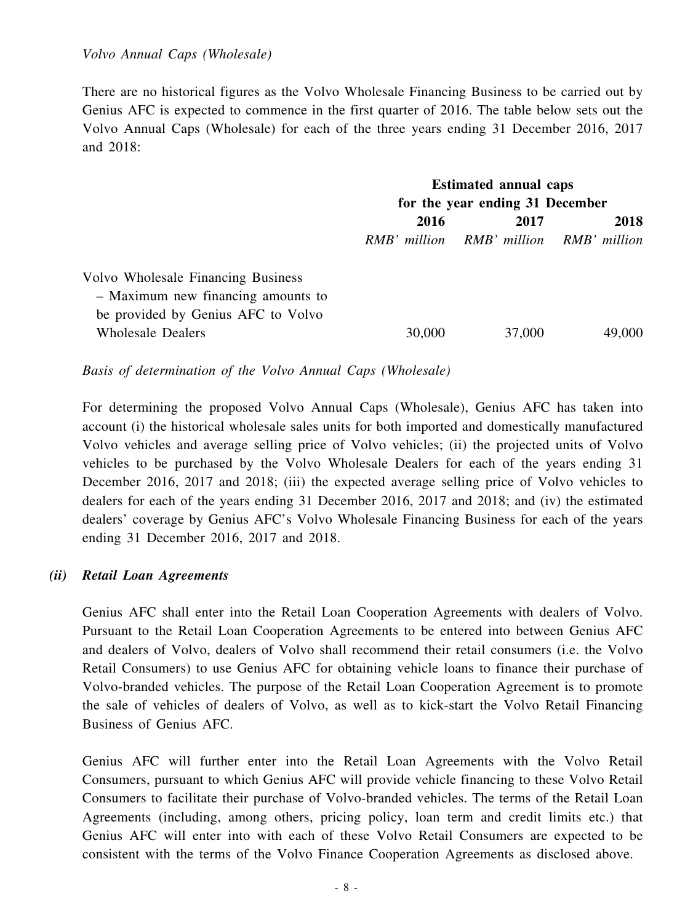There are no historical figures as the Volvo Wholesale Financing Business to be carried out by Genius AFC is expected to commence in the first quarter of 2016. The table below sets out the Volvo Annual Caps (Wholesale) for each of the three years ending 31 December 2016, 2017 and 2018:

|                                    | <b>Estimated annual caps</b>    |                                        |        |  |
|------------------------------------|---------------------------------|----------------------------------------|--------|--|
|                                    | for the year ending 31 December |                                        |        |  |
|                                    | 2016<br>2017                    |                                        | 2018   |  |
|                                    |                                 | RMB' million RMB' million RMB' million |        |  |
| Volvo Wholesale Financing Business |                                 |                                        |        |  |
| - Maximum new financing amounts to |                                 |                                        |        |  |
| be provided by Genius AFC to Volvo |                                 |                                        |        |  |
| <b>Wholesale Dealers</b>           | 30,000                          | 37,000                                 | 49,000 |  |

*Basis of determination of the Volvo Annual Caps (Wholesale)*

For determining the proposed Volvo Annual Caps (Wholesale), Genius AFC has taken into account (i) the historical wholesale sales units for both imported and domestically manufactured Volvo vehicles and average selling price of Volvo vehicles; (ii) the projected units of Volvo vehicles to be purchased by the Volvo Wholesale Dealers for each of the years ending 31 December 2016, 2017 and 2018; (iii) the expected average selling price of Volvo vehicles to dealers for each of the years ending 31 December 2016, 2017 and 2018; and (iv) the estimated dealers' coverage by Genius AFC's Volvo Wholesale Financing Business for each of the years ending 31 December 2016, 2017 and 2018.

#### *(ii) Retail Loan Agreements*

Genius AFC shall enter into the Retail Loan Cooperation Agreements with dealers of Volvo. Pursuant to the Retail Loan Cooperation Agreements to be entered into between Genius AFC and dealers of Volvo, dealers of Volvo shall recommend their retail consumers (i.e. the Volvo Retail Consumers) to use Genius AFC for obtaining vehicle loans to finance their purchase of Volvo-branded vehicles. The purpose of the Retail Loan Cooperation Agreement is to promote the sale of vehicles of dealers of Volvo, as well as to kick-start the Volvo Retail Financing Business of Genius AFC.

Genius AFC will further enter into the Retail Loan Agreements with the Volvo Retail Consumers, pursuant to which Genius AFC will provide vehicle financing to these Volvo Retail Consumers to facilitate their purchase of Volvo-branded vehicles. The terms of the Retail Loan Agreements (including, among others, pricing policy, loan term and credit limits etc.) that Genius AFC will enter into with each of these Volvo Retail Consumers are expected to be consistent with the terms of the Volvo Finance Cooperation Agreements as disclosed above.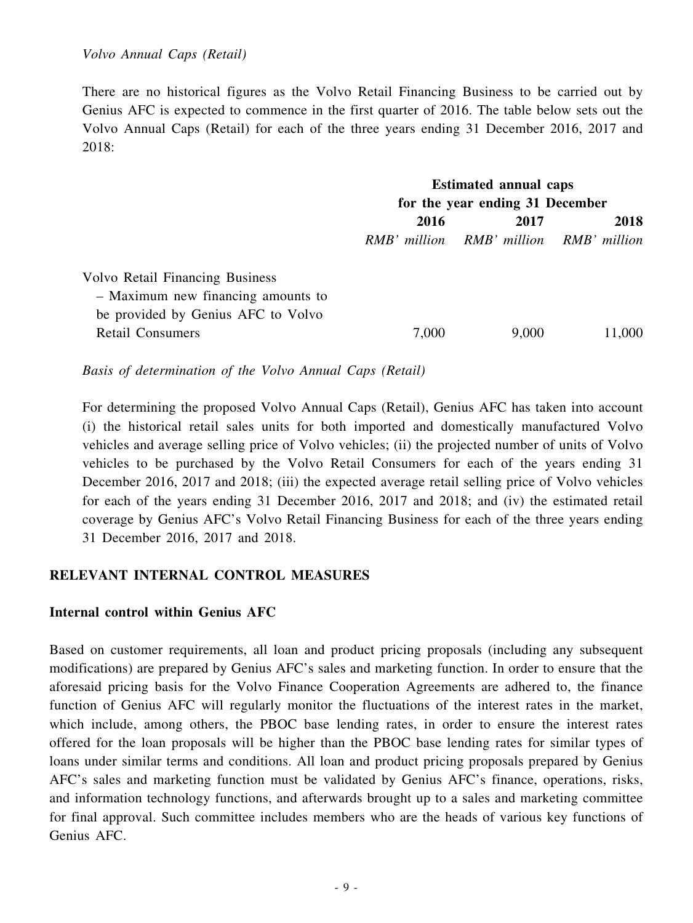There are no historical figures as the Volvo Retail Financing Business to be carried out by Genius AFC is expected to commence in the first quarter of 2016. The table below sets out the Volvo Annual Caps (Retail) for each of the three years ending 31 December 2016, 2017 and 2018:

|                                        | <b>Estimated annual caps</b>    |                                        |        |  |
|----------------------------------------|---------------------------------|----------------------------------------|--------|--|
|                                        | for the year ending 31 December |                                        |        |  |
|                                        | 2016<br>2017                    |                                        | 2018   |  |
|                                        |                                 | RMB' million RMB' million RMB' million |        |  |
| <b>Volvo Retail Financing Business</b> |                                 |                                        |        |  |
| - Maximum new financing amounts to     |                                 |                                        |        |  |
| be provided by Genius AFC to Volvo     |                                 |                                        |        |  |
| <b>Retail Consumers</b>                | 7,000                           | 9,000                                  | 11,000 |  |
|                                        |                                 |                                        |        |  |

*Basis of determination of the Volvo Annual Caps (Retail)*

For determining the proposed Volvo Annual Caps (Retail), Genius AFC has taken into account (i) the historical retail sales units for both imported and domestically manufactured Volvo vehicles and average selling price of Volvo vehicles; (ii) the projected number of units of Volvo vehicles to be purchased by the Volvo Retail Consumers for each of the years ending 31 December 2016, 2017 and 2018; (iii) the expected average retail selling price of Volvo vehicles for each of the years ending 31 December 2016, 2017 and 2018; and (iv) the estimated retail coverage by Genius AFC's Volvo Retail Financing Business for each of the three years ending 31 December 2016, 2017 and 2018.

#### **RELEVANT INTERNAL CONTROL MEASURES**

#### **Internal control within Genius AFC**

Based on customer requirements, all loan and product pricing proposals (including any subsequent modifications) are prepared by Genius AFC's sales and marketing function. In order to ensure that the aforesaid pricing basis for the Volvo Finance Cooperation Agreements are adhered to, the finance function of Genius AFC will regularly monitor the fluctuations of the interest rates in the market, which include, among others, the PBOC base lending rates, in order to ensure the interest rates offered for the loan proposals will be higher than the PBOC base lending rates for similar types of loans under similar terms and conditions. All loan and product pricing proposals prepared by Genius AFC's sales and marketing function must be validated by Genius AFC's finance, operations, risks, and information technology functions, and afterwards brought up to a sales and marketing committee for final approval. Such committee includes members who are the heads of various key functions of Genius AFC.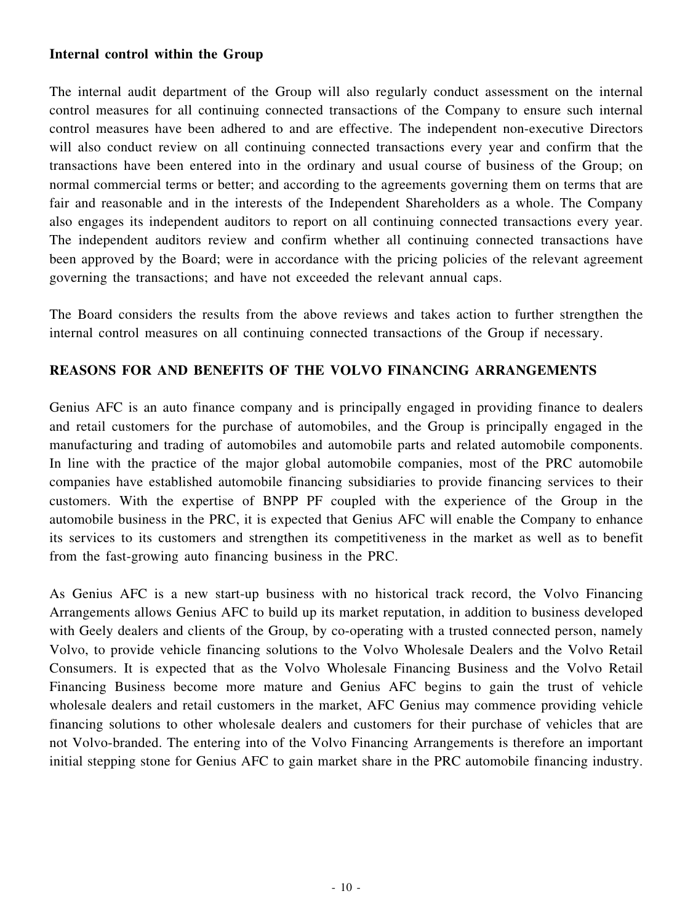### **Internal control within the Group**

The internal audit department of the Group will also regularly conduct assessment on the internal control measures for all continuing connected transactions of the Company to ensure such internal control measures have been adhered to and are effective. The independent non-executive Directors will also conduct review on all continuing connected transactions every year and confirm that the transactions have been entered into in the ordinary and usual course of business of the Group; on normal commercial terms or better; and according to the agreements governing them on terms that are fair and reasonable and in the interests of the Independent Shareholders as a whole. The Company also engages its independent auditors to report on all continuing connected transactions every year. The independent auditors review and confirm whether all continuing connected transactions have been approved by the Board; were in accordance with the pricing policies of the relevant agreement governing the transactions; and have not exceeded the relevant annual caps.

The Board considers the results from the above reviews and takes action to further strengthen the internal control measures on all continuing connected transactions of the Group if necessary.

### **REASONS FOR AND BENEFITS OF THE VOLVO FINANCING ARRANGEMENTS**

Genius AFC is an auto finance company and is principally engaged in providing finance to dealers and retail customers for the purchase of automobiles, and the Group is principally engaged in the manufacturing and trading of automobiles and automobile parts and related automobile components. In line with the practice of the major global automobile companies, most of the PRC automobile companies have established automobile financing subsidiaries to provide financing services to their customers. With the expertise of BNPP PF coupled with the experience of the Group in the automobile business in the PRC, it is expected that Genius AFC will enable the Company to enhance its services to its customers and strengthen its competitiveness in the market as well as to benefit from the fast-growing auto financing business in the PRC.

As Genius AFC is a new start-up business with no historical track record, the Volvo Financing Arrangements allows Genius AFC to build up its market reputation, in addition to business developed with Geely dealers and clients of the Group, by co-operating with a trusted connected person, namely Volvo, to provide vehicle financing solutions to the Volvo Wholesale Dealers and the Volvo Retail Consumers. It is expected that as the Volvo Wholesale Financing Business and the Volvo Retail Financing Business become more mature and Genius AFC begins to gain the trust of vehicle wholesale dealers and retail customers in the market, AFC Genius may commence providing vehicle financing solutions to other wholesale dealers and customers for their purchase of vehicles that are not Volvo-branded. The entering into of the Volvo Financing Arrangements is therefore an important initial stepping stone for Genius AFC to gain market share in the PRC automobile financing industry.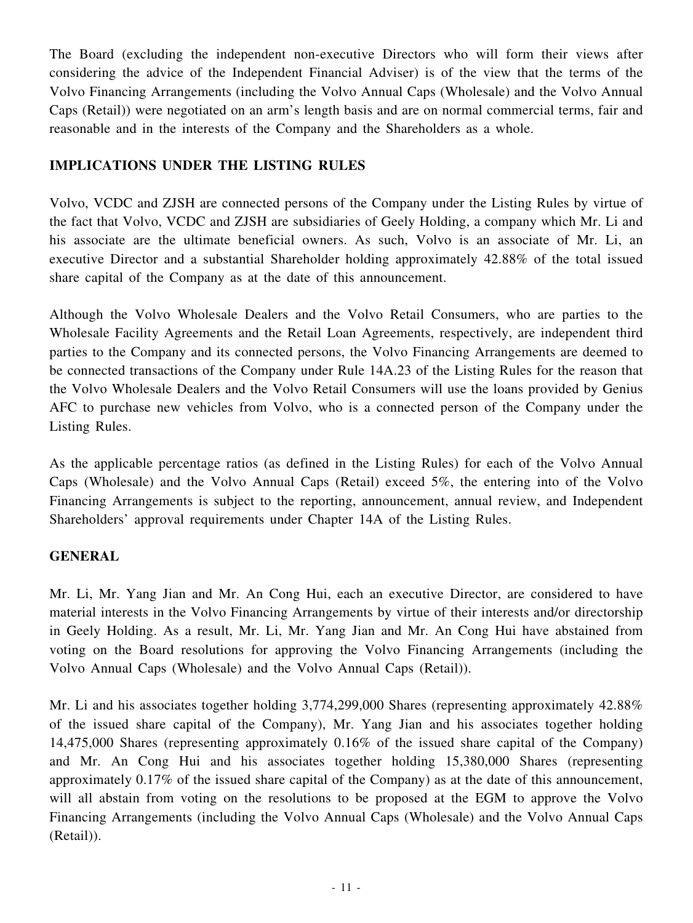The Board (excluding the independent non-executive Directors who will form their views after considering the advice of the Independent Financial Adviser) is of the view that the terms of the Volvo Financing Arrangements (including the Volvo Annual Caps (Wholesale) and the Volvo Annual Caps (Retail)) were negotiated on an arm's length basis and are on normal commercial terms, fair and reasonable and in the interests of the Company and the Shareholders as a whole.

# **IMPLICATIONS UNDER THE LISTING RULES**

Volvo, VCDC and ZJSH are connected persons of the Company under the Listing Rules by virtue of the fact that Volvo, VCDC and ZJSH are subsidiaries of Geely Holding, a company which Mr. Li and his associate are the ultimate beneficial owners. As such, Volvo is an associate of Mr. Li, an executive Director and a substantial Shareholder holding approximately 42.88% of the total issued share capital of the Company as at the date of this announcement.

Although the Volvo Wholesale Dealers and the Volvo Retail Consumers, who are parties to the Wholesale Facility Agreements and the Retail Loan Agreements, respectively, are independent third parties to the Company and its connected persons, the Volvo Financing Arrangements are deemed to be connected transactions of the Company under Rule 14A.23 of the Listing Rules for the reason that the Volvo Wholesale Dealers and the Volvo Retail Consumers will use the loans provided by Genius AFC to purchase new vehicles from Volvo, who is a connected person of the Company under the Listing Rules.

As the applicable percentage ratios (as defined in the Listing Rules) for each of the Volvo Annual Caps (Wholesale) and the Volvo Annual Caps (Retail) exceed 5%, the entering into of the Volvo Financing Arrangements is subject to the reporting, announcement, annual review, and Independent Shareholders' approval requirements under Chapter 14A of the Listing Rules.

### **GENERAL**

Mr. Li, Mr. Yang Jian and Mr. An Cong Hui, each an executive Director, are considered to have material interests in the Volvo Financing Arrangements by virtue of their interests and/or directorship in Geely Holding. As a result, Mr. Li, Mr. Yang Jian and Mr. An Cong Hui have abstained from voting on the Board resolutions for approving the Volvo Financing Arrangements (including the Volvo Annual Caps (Wholesale) and the Volvo Annual Caps (Retail)).

Mr. Li and his associates together holding 3,774,299,000 Shares (representing approximately 42.88%) of the issued share capital of the Company), Mr. Yang Jian and his associates together holding 14,475,000 Shares (representing approximately 0.16% of the issued share capital of the Company) and Mr. An Cong Hui and his associates together holding 15,380,000 Shares (representing approximately 0.17% of the issued share capital of the Company) as at the date of this announcement, will all abstain from voting on the resolutions to be proposed at the EGM to approve the Volvo Financing Arrangements (including the Volvo Annual Caps (Wholesale) and the Volvo Annual Caps (Retail)).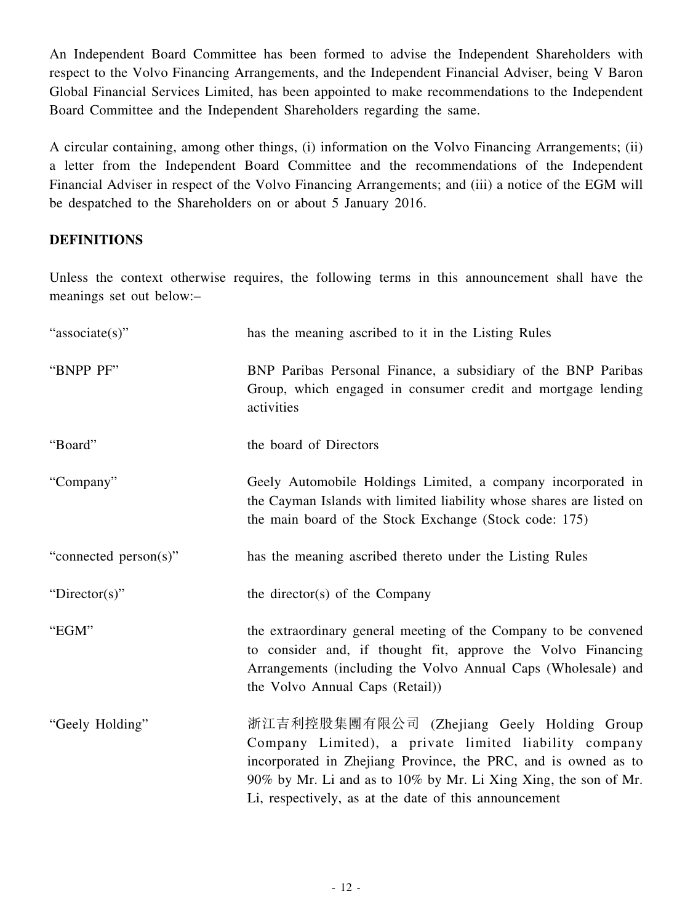An Independent Board Committee has been formed to advise the Independent Shareholders with respect to the Volvo Financing Arrangements, and the Independent Financial Adviser, being V Baron Global Financial Services Limited, has been appointed to make recommendations to the Independent Board Committee and the Independent Shareholders regarding the same.

A circular containing, among other things, (i) information on the Volvo Financing Arrangements; (ii) a letter from the Independent Board Committee and the recommendations of the Independent Financial Adviser in respect of the Volvo Financing Arrangements; and (iii) a notice of the EGM will be despatched to the Shareholders on or about 5 January 2016.

### **DEFINITIONS**

Unless the context otherwise requires, the following terms in this announcement shall have the meanings set out below:–

| "associate(s)"        | has the meaning ascribed to it in the Listing Rules                                                                                                                                                                                                                                               |
|-----------------------|---------------------------------------------------------------------------------------------------------------------------------------------------------------------------------------------------------------------------------------------------------------------------------------------------|
| "BNPP PF"             | BNP Paribas Personal Finance, a subsidiary of the BNP Paribas<br>Group, which engaged in consumer credit and mortgage lending<br>activities                                                                                                                                                       |
| "Board"               | the board of Directors                                                                                                                                                                                                                                                                            |
| "Company"             | Geely Automobile Holdings Limited, a company incorporated in<br>the Cayman Islands with limited liability whose shares are listed on<br>the main board of the Stock Exchange (Stock code: 175)                                                                                                    |
| "connected person(s)" | has the meaning ascribed thereto under the Listing Rules                                                                                                                                                                                                                                          |
| "Director(s)"         | the director(s) of the Company                                                                                                                                                                                                                                                                    |
| "EGM"                 | the extraordinary general meeting of the Company to be convened<br>to consider and, if thought fit, approve the Volvo Financing<br>Arrangements (including the Volvo Annual Caps (Wholesale) and<br>the Volvo Annual Caps (Retail))                                                               |
| "Geely Holding"       | 浙江吉利控股集團有限公司 (Zhejiang Geely Holding Group<br>Company Limited), a private limited liability company<br>incorporated in Zhejiang Province, the PRC, and is owned as to<br>90% by Mr. Li and as to 10% by Mr. Li Xing Xing, the son of Mr.<br>Li, respectively, as at the date of this announcement |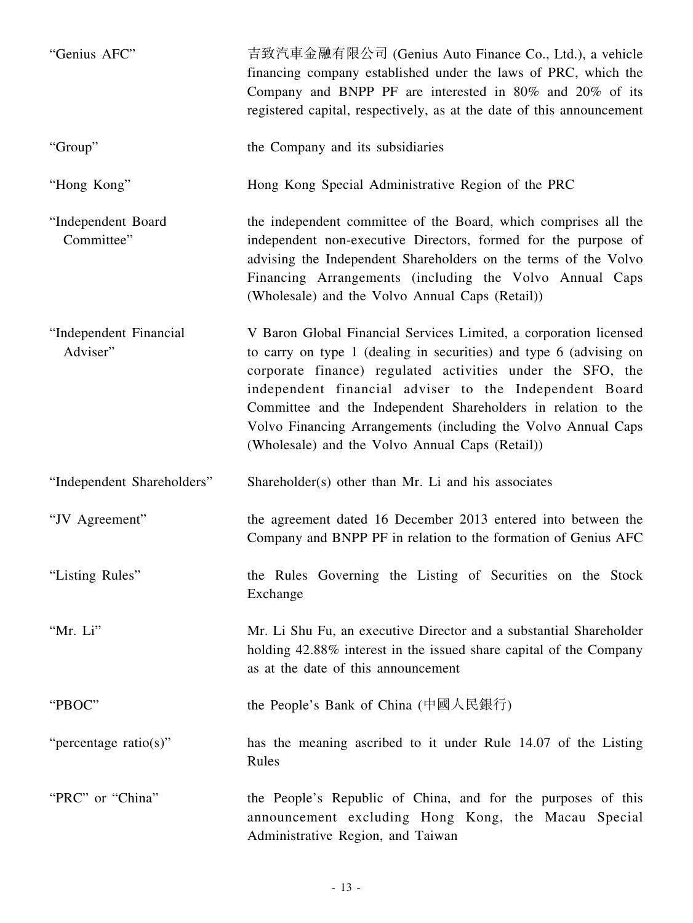| "Genius AFC"                       | 吉致汽車金融有限公司 (Genius Auto Finance Co., Ltd.), a vehicle<br>financing company established under the laws of PRC, which the<br>Company and BNPP PF are interested in 80% and 20% of its<br>registered capital, respectively, as at the date of this announcement                                                                                                                                                                                         |
|------------------------------------|------------------------------------------------------------------------------------------------------------------------------------------------------------------------------------------------------------------------------------------------------------------------------------------------------------------------------------------------------------------------------------------------------------------------------------------------------|
| "Group"                            | the Company and its subsidiaries                                                                                                                                                                                                                                                                                                                                                                                                                     |
| "Hong Kong"                        | Hong Kong Special Administrative Region of the PRC                                                                                                                                                                                                                                                                                                                                                                                                   |
| "Independent Board<br>Committee"   | the independent committee of the Board, which comprises all the<br>independent non-executive Directors, formed for the purpose of<br>advising the Independent Shareholders on the terms of the Volvo<br>Financing Arrangements (including the Volvo Annual Caps<br>(Wholesale) and the Volvo Annual Caps (Retail))                                                                                                                                   |
| "Independent Financial<br>Adviser" | V Baron Global Financial Services Limited, a corporation licensed<br>to carry on type 1 (dealing in securities) and type 6 (advising on<br>corporate finance) regulated activities under the SFO, the<br>independent financial adviser to the Independent Board<br>Committee and the Independent Shareholders in relation to the<br>Volvo Financing Arrangements (including the Volvo Annual Caps<br>(Wholesale) and the Volvo Annual Caps (Retail)) |
| "Independent Shareholders"         | Shareholder(s) other than Mr. Li and his associates                                                                                                                                                                                                                                                                                                                                                                                                  |
| "JV Agreement"                     | the agreement dated 16 December 2013 entered into between the<br>Company and BNPP PF in relation to the formation of Genius AFC                                                                                                                                                                                                                                                                                                                      |
| "Listing Rules"                    | the Rules Governing the Listing of Securities on the Stock<br>Exchange                                                                                                                                                                                                                                                                                                                                                                               |
| "Mr. Li"                           | Mr. Li Shu Fu, an executive Director and a substantial Shareholder<br>holding 42.88% interest in the issued share capital of the Company<br>as at the date of this announcement                                                                                                                                                                                                                                                                      |
| "PBOC"                             | the People's Bank of China (中國人民銀行)                                                                                                                                                                                                                                                                                                                                                                                                                  |
| "percentage ratio(s)"              | has the meaning ascribed to it under Rule 14.07 of the Listing<br>Rules                                                                                                                                                                                                                                                                                                                                                                              |
| "PRC" or "China"                   | the People's Republic of China, and for the purposes of this<br>announcement excluding Hong Kong, the Macau Special<br>Administrative Region, and Taiwan                                                                                                                                                                                                                                                                                             |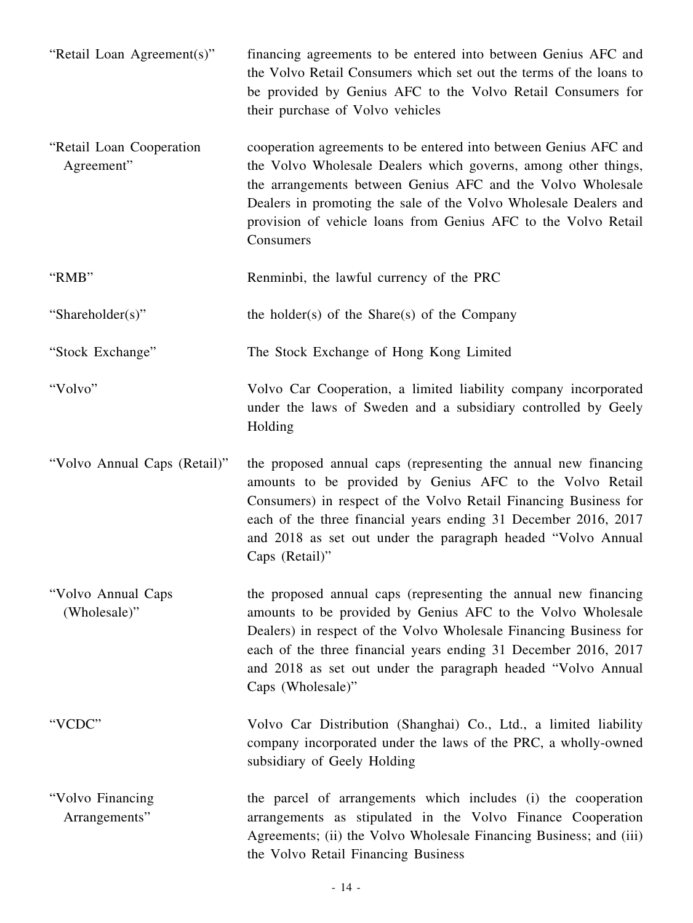| "Retail Loan Agreement(s)"             | financing agreements to be entered into between Genius AFC and<br>the Volvo Retail Consumers which set out the terms of the loans to<br>be provided by Genius AFC to the Volvo Retail Consumers for<br>their purchase of Volvo vehicles                                                                                                                     |
|----------------------------------------|-------------------------------------------------------------------------------------------------------------------------------------------------------------------------------------------------------------------------------------------------------------------------------------------------------------------------------------------------------------|
| "Retail Loan Cooperation<br>Agreement" | cooperation agreements to be entered into between Genius AFC and<br>the Volvo Wholesale Dealers which governs, among other things,<br>the arrangements between Genius AFC and the Volvo Wholesale<br>Dealers in promoting the sale of the Volvo Wholesale Dealers and<br>provision of vehicle loans from Genius AFC to the Volvo Retail<br>Consumers        |
| "RMB"                                  | Renminbi, the lawful currency of the PRC                                                                                                                                                                                                                                                                                                                    |
| "Shareholder(s)"                       | the holder(s) of the Share(s) of the Company                                                                                                                                                                                                                                                                                                                |
| "Stock Exchange"                       | The Stock Exchange of Hong Kong Limited                                                                                                                                                                                                                                                                                                                     |
| "Volvo"                                | Volvo Car Cooperation, a limited liability company incorporated<br>under the laws of Sweden and a subsidiary controlled by Geely<br>Holding                                                                                                                                                                                                                 |
| "Volvo Annual Caps (Retail)"           | the proposed annual caps (representing the annual new financing<br>amounts to be provided by Genius AFC to the Volvo Retail<br>Consumers) in respect of the Volvo Retail Financing Business for<br>each of the three financial years ending 31 December 2016, 2017<br>and 2018 as set out under the paragraph headed "Volvo Annual<br>Caps (Retail)"        |
| "Volvo Annual Caps<br>(Wholesale)"     | the proposed annual caps (representing the annual new financing<br>amounts to be provided by Genius AFC to the Volvo Wholesale<br>Dealers) in respect of the Volvo Wholesale Financing Business for<br>each of the three financial years ending 31 December 2016, 2017<br>and 2018 as set out under the paragraph headed "Volvo Annual<br>Caps (Wholesale)" |
| "VCDC"                                 | Volvo Car Distribution (Shanghai) Co., Ltd., a limited liability<br>company incorporated under the laws of the PRC, a wholly-owned<br>subsidiary of Geely Holding                                                                                                                                                                                           |
| "Volvo Financing<br>Arrangements"      | the parcel of arrangements which includes (i) the cooperation<br>arrangements as stipulated in the Volvo Finance Cooperation<br>Agreements; (ii) the Volvo Wholesale Financing Business; and (iii)<br>the Volvo Retail Financing Business                                                                                                                   |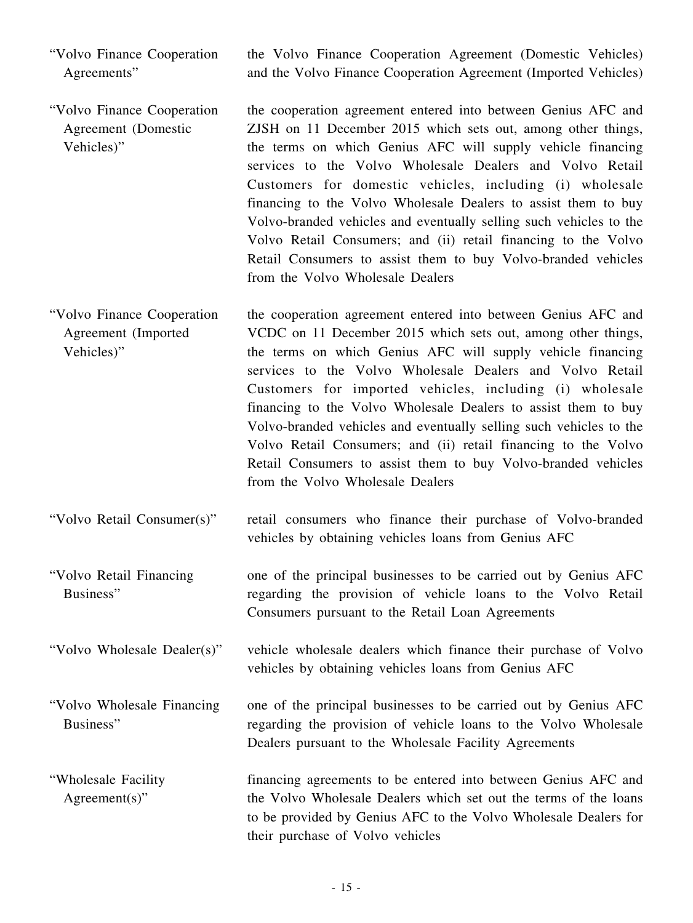"Volvo Finance Cooperation Agreements" the Volvo Finance Cooperation Agreement (Domestic Vehicles) and the Volvo Finance Cooperation Agreement (Imported Vehicles)

- "Volvo Finance Cooperation Agreement (Domestic Vehicles)" the cooperation agreement entered into between Genius AFC and ZJSH on 11 December 2015 which sets out, among other things, the terms on which Genius AFC will supply vehicle financing services to the Volvo Wholesale Dealers and Volvo Retail Customers for domestic vehicles, including (i) wholesale financing to the Volvo Wholesale Dealers to assist them to buy Volvo-branded vehicles and eventually selling such vehicles to the Volvo Retail Consumers; and (ii) retail financing to the Volvo Retail Consumers to assist them to buy Volvo-branded vehicles from the Volvo Wholesale Dealers
- "Volvo Finance Cooperation Agreement (Imported Vehicles)" the cooperation agreement entered into between Genius AFC and VCDC on 11 December 2015 which sets out, among other things, the terms on which Genius AFC will supply vehicle financing services to the Volvo Wholesale Dealers and Volvo Retail Customers for imported vehicles, including (i) wholesale financing to the Volvo Wholesale Dealers to assist them to buy Volvo-branded vehicles and eventually selling such vehicles to the Volvo Retail Consumers; and (ii) retail financing to the Volvo Retail Consumers to assist them to buy Volvo-branded vehicles from the Volvo Wholesale Dealers
- "Volvo Retail Consumer(s)" retail consumers who finance their purchase of Volvo-branded vehicles by obtaining vehicles loans from Genius AFC
- "Volvo Retail Financing Business" one of the principal businesses to be carried out by Genius AFC regarding the provision of vehicle loans to the Volvo Retail Consumers pursuant to the Retail Loan Agreements
- "Volvo Wholesale Dealer(s)" vehicle wholesale dealers which finance their purchase of Volvo vehicles by obtaining vehicles loans from Genius AFC
- "Volvo Wholesale Financing Business" one of the principal businesses to be carried out by Genius AFC regarding the provision of vehicle loans to the Volvo Wholesale Dealers pursuant to the Wholesale Facility Agreements
- "Wholesale Facility Agreement(s)" financing agreements to be entered into between Genius AFC and the Volvo Wholesale Dealers which set out the terms of the loans to be provided by Genius AFC to the Volvo Wholesale Dealers for their purchase of Volvo vehicles